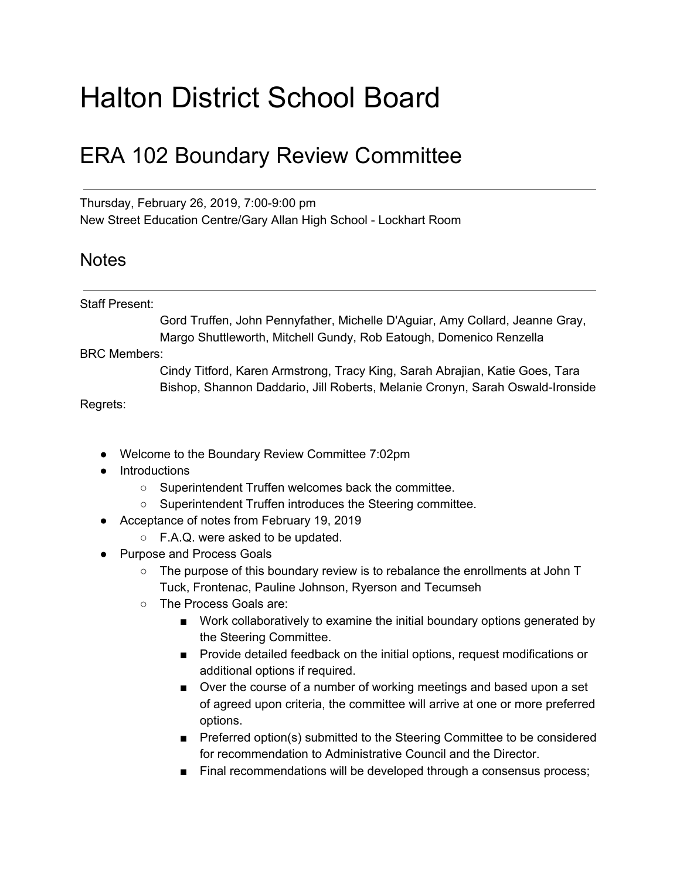## Halton District School Board

## ERA 102 Boundary Review Committee

Thursday, February 26, 2019, 7:00-9:00 pm New Street Education Centre/Gary Allan High School - Lockhart Room

## **Notes**

## Staff Present:

Gord Truffen, John Pennyfather, Michelle D'Aguiar, Amy Collard, Jeanne Gray, Margo Shuttleworth, Mitchell Gundy, Rob Eatough, Domenico Renzella

BRC Members:

Cindy Titford, Karen Armstrong, Tracy King, Sarah Abrajian, Katie Goes, Tara Bishop, Shannon Daddario, Jill Roberts, Melanie Cronyn, Sarah Oswald-Ironside

Regrets:

- Welcome to the Boundary Review Committee 7:02pm
- Introductions
	- Superintendent Truffen welcomes back the committee.
	- Superintendent Truffen introduces the Steering committee.
- Acceptance of notes from February 19, 2019
	- F.A.Q. were asked to be updated.
- Purpose and Process Goals
	- The purpose of this boundary review is to rebalance the enrollments at John T Tuck, Frontenac, Pauline Johnson, Ryerson and Tecumseh
	- The Process Goals are:
		- Work collaboratively to examine the initial boundary options generated by the Steering Committee.
		- Provide detailed feedback on the initial options, request modifications or additional options if required.
		- Over the course of a number of working meetings and based upon a set of agreed upon criteria, the committee will arrive at one or more preferred options.
		- Preferred option(s) submitted to the Steering Committee to be considered for recommendation to Administrative Council and the Director.
		- Final recommendations will be developed through a consensus process;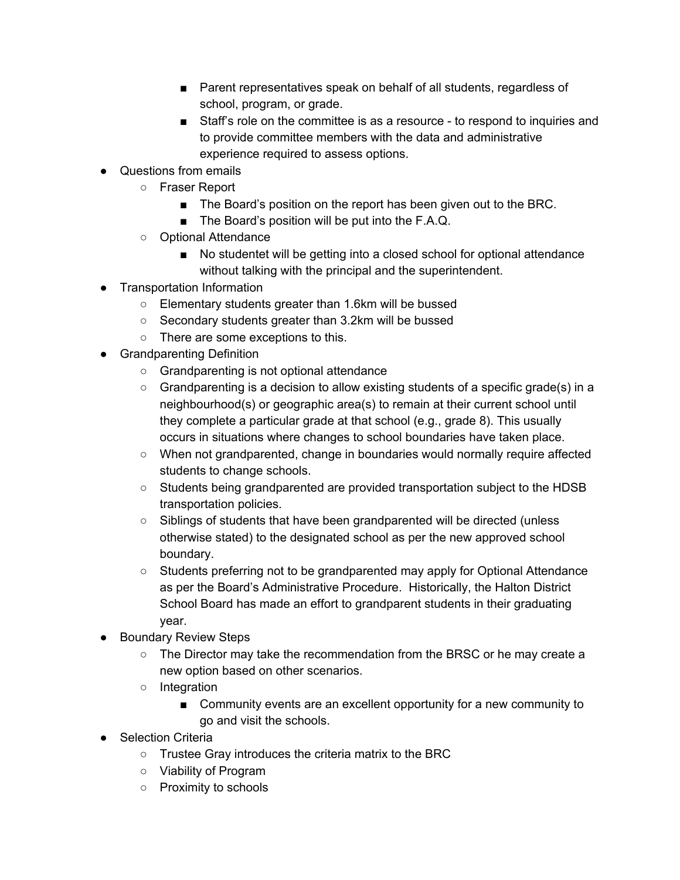- Parent representatives speak on behalf of all students, regardless of school, program, or grade.
- Staff's role on the committee is as a resource to respond to inquiries and to provide committee members with the data and administrative experience required to assess options.
- Questions from emails
	- Fraser Report
		- The Board's position on the report has been given out to the BRC.
		- The Board's position will be put into the F.A.Q.
	- Optional Attendance
		- No studentet will be getting into a closed school for optional attendance without talking with the principal and the superintendent.
- **Transportation Information** 
	- Elementary students greater than 1.6km will be bussed
	- Secondary students greater than 3.2km will be bussed
	- There are some exceptions to this.
- Grandparenting Definition
	- Grandparenting is not optional attendance
	- $\circ$  Grandparenting is a decision to allow existing students of a specific grade(s) in a neighbourhood(s) or geographic area(s) to remain at their current school until they complete a particular grade at that school (e.g., grade 8). This usually occurs in situations where changes to school boundaries have taken place.
	- When not grandparented, change in boundaries would normally require affected students to change schools.
	- Students being grandparented are provided transportation subject to the HDSB transportation policies.
	- Siblings of students that have been grandparented will be directed (unless otherwise stated) to the designated school as per the new approved school boundary.
	- Students preferring not to be grandparented may apply for Optional Attendance as per the Board's Administrative Procedure. Historically, the Halton District School Board has made an effort to grandparent students in their graduating year.
- **Boundary Review Steps** 
	- The Director may take the recommendation from the BRSC or he may create a new option based on other scenarios.
	- Integration
		- Community events are an excellent opportunity for a new community to go and visit the schools.
- Selection Criteria
	- Trustee Gray introduces the criteria matrix to the BRC
	- Viability of Program
	- Proximity to schools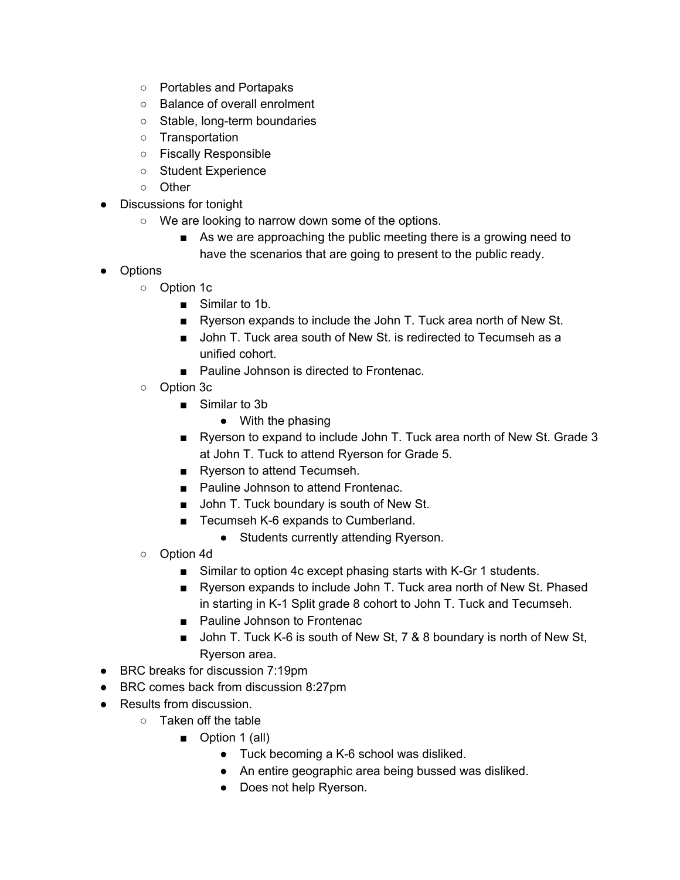- Portables and Portapaks
- Balance of overall enrolment
- Stable, long-term boundaries
- Transportation
- Fiscally Responsible
- Student Experience
- Other
- Discussions for tonight
	- We are looking to narrow down some of the options.
		- As we are approaching the public meeting there is a growing need to have the scenarios that are going to present to the public ready.
- Options
	- Option 1c
		- Similar to 1b.
		- Ryerson expands to include the John T. Tuck area north of New St.
		- John T. Tuck area south of New St. is redirected to Tecumseh as a unified cohort.
		- Pauline Johnson is directed to Frontenac.
	- Option 3c
		- Similar to 3b
			- With the phasing
		- Ryerson to expand to include John T. Tuck area north of New St. Grade 3 at John T. Tuck to attend Ryerson for Grade 5.
		- Ryerson to attend Tecumseh.
		- Pauline Johnson to attend Frontenac.
		- John T. Tuck boundary is south of New St.
		- Tecumseh K-6 expands to Cumberland.
			- Students currently attending Ryerson.
	- Option 4d
		- Similar to option 4c except phasing starts with K-Gr 1 students.
		- Ryerson expands to include John T. Tuck area north of New St. Phased in starting in K-1 Split grade 8 cohort to John T. Tuck and Tecumseh.
		- Pauline Johnson to Frontenac
		- John T. Tuck K-6 is south of New St, 7 & 8 boundary is north of New St, Ryerson area.
- BRC breaks for discussion 7:19pm
- BRC comes back from discussion 8:27pm
- Results from discussion.
	- Taken off the table
		- Option 1 (all)
			- Tuck becoming a K-6 school was disliked.
			- An entire geographic area being bussed was disliked.
			- Does not help Ryerson.